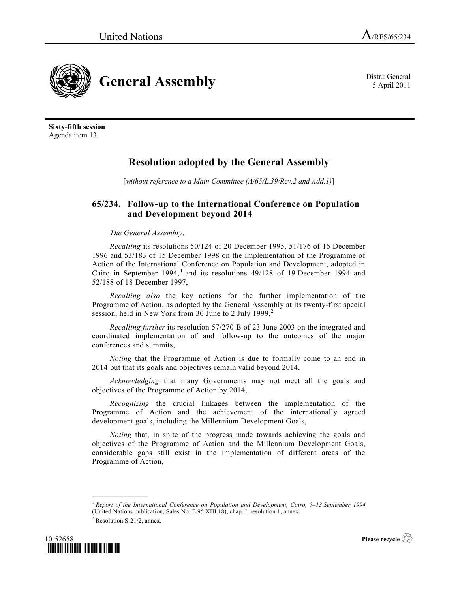5 April 2011



**Sixty-fifth session** Agenda item 13

## **Resolution adopted by the General Assembly**

[*without reference to a Main Committee (A/65/L.39/Rev.2 and Add.1)*]

## **65/234. Follow-up to the International Conference on Population and Development beyond 2014**

## *The General Assembly*,

*Recalling* its resolutions 50/124 of 20 December 1995, 51/176 of 16 December 1996 and 53/183 of 15 December 1998 on the implementation of the Programme of Action of the International Conference on Population and Development, adopted in Cairo in September 1994,<sup>1</sup> and its resolutions  $49/128$  of 19 December 1994 and 52/188 of 18 December 1997,

*Recalling also* the key actions for the further implementation of the Programme of Action, as adopted by the General Assembly at its twenty-first special session, held in New York from 30 June to 2 July  $1999<sup>2</sup>$ 

*Recalling further* its resolution 57/270 B of 23 June 2003 on the integrated and coordinated implementation of and follow-up to the outcomes of the major conferences and summits,

*Noting* that the Programme of Action is due to formally come to an end in 2014 but that its goals and objectives remain valid beyond 2014,

*Acknowledging* that many Governments may not meet all the goals and objectives of the Programme of Action by 2014,

*Recognizing* the crucial linkages between the implementation of the Programme of Action and the achievement of the internationally agreed development goals, including the Millennium Development Goals,

*Noting* that, in spite of the progress made towards achieving the goals and objectives of the Programme of Action and the Millennium Development Goals, considerable gaps still exist in the implementation of different areas of the Programme of Action,

**\_\_\_\_\_\_\_\_\_\_\_\_\_\_\_**



**Please recycle** 

<sup>1</sup> *Report of the International Conference on Population and Development, Cairo, 5–13 September 1994* (United Nations publication, Sales No. E.95.XIII.18), chap. I, resolution 1, annex.

<sup>&</sup>lt;sup>2</sup> Resolution S-21/2, annex.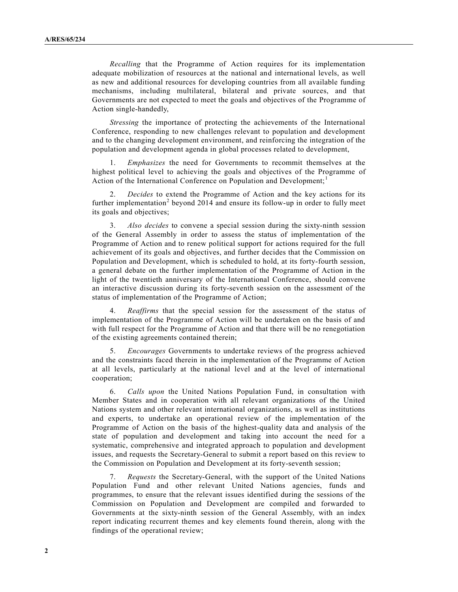*Recalling* that the Programme of Action requires for its implementation adequate mobilization of resources at the national and international levels, as well as new and additional resources for developing countries from all available funding mechanisms, including multilateral, bilateral and private sources, and that Governments are not expected to meet the goals and objectives of the Programme of Action single-handedly,

*Stressing* the importance of protecting the achievements of the International Conference, responding to new challenges relevant to population and development and to the changing development environment, and reinforcing the integration of the population and development agenda in global processes related to development,

1. *Emphasizes* the need for Governments to recommit themselves at the highest political level to achieving the goals and objectives of the Programme of Action of the International Conference on Population and Development;<sup>1</sup>

2. *Decides* to extend the Programme of Action and the key actions for its further implementation<sup>2</sup> beyond 2014 and ensure its follow-up in order to fully meet its goals and objectives;

3. *Also decides* to convene a special session during the sixty-ninth session of the General Assembly in order to assess the status of implementation of the Programme of Action and to renew political support for actions required for the full achievement of its goals and objectives, and further decides that the Commission on Population and Development, which is scheduled to hold, at its forty-fourth session, a general debate on the further implementation of the Programme of Action in the light of the twentieth anniversary of the International Conference, should convene an interactive discussion during its forty-seventh session on the assessment of the status of implementation of the Programme of Action;

4. *Reaffirms* that the special session for the assessment of the status of implementation of the Programme of Action will be undertaken on the basis of and with full respect for the Programme of Action and that there will be no renegotiation of the existing agreements contained therein;

5. *Encourages* Governments to undertake reviews of the progress achieved and the constraints faced therein in the implementation of the Programme of Action at all levels, particularly at the national level and at the level of international cooperation;

6. *Calls upon* the United Nations Population Fund, in consultation with Member States and in cooperation with all relevant organizations of the United Nations system and other relevant international organizations, as well as institutions and experts, to undertake an operational review of the implementation of the Programme of Action on the basis of the highest-quality data and analysis of the state of population and development and taking into account the need for a systematic, comprehensive and integrated approach to population and development issues, and requests the Secretary-General to submit a report based on this review to the Commission on Population and Development at its forty-seventh session;

7. *Requests* the Secretary-General, with the support of the United Nations Population Fund and other relevant United Nations agencies, funds and programmes, to ensure that the relevant issues identified during the sessions of the Commission on Population and Development are compiled and forwarded to Governments at the sixty-ninth session of the General Assembly, with an index report indicating recurrent themes and key elements found therein, along with the findings of the operational review;